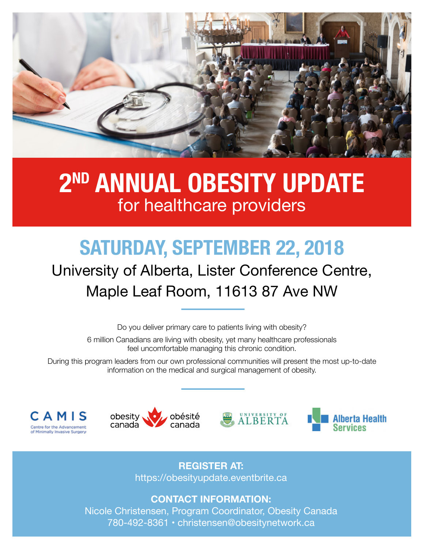

## **2ND annual obesity update** for healthcare providers

# **Saturday, september 22, 2018**

## University of Alberta, Lister Conference Centre, Maple Leaf Room, 11613 87 Ave NW

Do you deliver primary care to patients living with obesity?

6 million Canadians are living with obesity, yet many healthcare professionals feel uncomfortable managing this chronic condition.

During this program leaders from our own professional communities will present the most up-to-date information on the medical and surgical management of obesity.









**register at:**  https://obesityupdate.eventbrite.ca

**Contact Information:** Nicole Christensen, Program Coordinator, Obesity Canada 780-492-8361 • christensen@obesitynetwork.ca